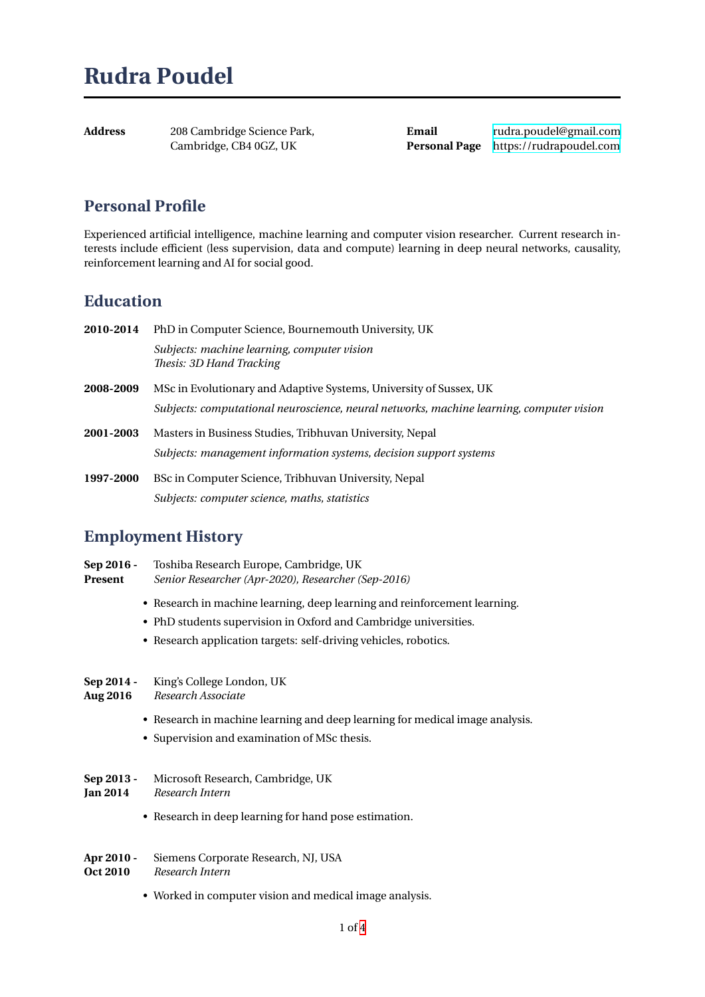| Address | 208 Cambridge Science Park, |
|---------|-----------------------------|
|         | Cambridge, CB4 0GZ, UK      |

**Email** rudra.poudel@gmail.com **Personal Page** https://rudrapoudel.com

## **Personal Profile**

Experienced artificial intelligence, machine learning and computer vision researcher. Current research interests include efficient (less supervision, data and compute) learning in deep neural networks, causality, reinforcement learning and AI for social good.

## **Education**

| 2010-2014 | PhD in Computer Science, Bournemouth University, UK                                      |
|-----------|------------------------------------------------------------------------------------------|
|           | Subjects: machine learning, computer vision<br>Thesis: 3D Hand Tracking                  |
| 2008-2009 | MSc in Evolutionary and Adaptive Systems, University of Sussex, UK                       |
|           | Subjects: computational neuroscience, neural networks, machine learning, computer vision |
| 2001-2003 | Masters in Business Studies, Tribhuvan University, Nepal                                 |
|           | Subjects: management information systems, decision support systems                       |
| 1997-2000 | BSc in Computer Science, Tribhuvan University, Nepal                                     |
|           | Subjects: computer science, maths, statistics                                            |

## **Employment History**

| Sep 2016 -<br>Present         | Toshiba Research Europe, Cambridge, UK<br>Senior Researcher (Apr-2020), Researcher (Sep-2016)                                                 |
|-------------------------------|-----------------------------------------------------------------------------------------------------------------------------------------------|
|                               | • Research in machine learning, deep learning and reinforcement learning.<br>• PhD students supervision in Oxford and Cambridge universities. |
|                               | • Research application targets: self-driving vehicles, robotics.                                                                              |
| Sep 2014 -<br><b>Aug 2016</b> | King's College London, UK<br>Research Associate                                                                                               |
|                               | • Research in machine learning and deep learning for medical image analysis.<br>• Supervision and examination of MSc thesis.                  |
| Sep 2013 -<br>Jan 2014        | Microsoft Research, Cambridge, UK<br>Research Intern                                                                                          |
|                               | • Research in deep learning for hand pose estimation.                                                                                         |
|                               |                                                                                                                                               |

- **Apr 2010 -** Siemens Corporate Research, NJ, USA **Oct 2010** *Research Intern*
	- Worked in computer vision and medical image analysis.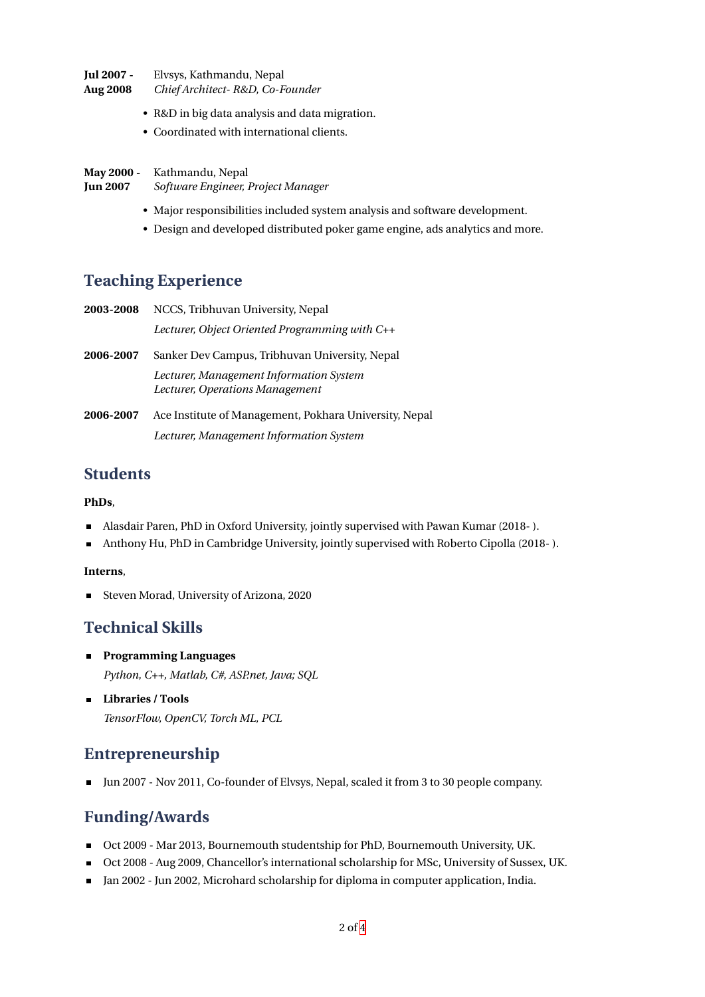**Jul 2007 -** Elvsys, Kathmandu, Nepal **Aug 2008** *Chief Architect- R&D, Co-Founder*

- R&D in big data analysis and data migration.
- Coordinated with international clients.
- **May 2000 -** Kathmandu, Nepal **Jun 2007** *Software Engineer, Project Manager*
	- Major responsibilities included system analysis and software development.
	- Design and developed distributed poker game engine, ads analytics and more.

#### **Teaching Experience**

| 2003-2008 | NCCS, Tribhuvan University, Nepal                                          |
|-----------|----------------------------------------------------------------------------|
|           | Lecturer, Object Oriented Programming with C++                             |
| 2006-2007 | Sanker Dev Campus, Tribhuvan University, Nepal                             |
|           | Lecturer, Management Information System<br>Lecturer, Operations Management |
| 2006-2007 | Ace Institute of Management, Pokhara University, Nepal                     |
|           | Lecturer, Management Information System                                    |
|           |                                                                            |

#### **Students**

#### **PhDs**,

- Alasdair Paren, PhD in Oxford University, jointly supervised with Pawan Kumar (2018- ).  $\blacksquare$
- Anthony Hu, PhD in Cambridge University, jointly supervised with Roberto Cipolla (2018- ).  $\blacksquare$

#### **Interns**,

Steven Morad, University of Arizona, 2020 ٠

#### **Technical Skills**

- **Programming Languages** *Python, C++, Matlab, C#, ASP.net, Java; SQL*
- **Libraries / Tools** *TensorFlow, OpenCV, Torch ML, PCL*

## **Entrepreneurship**

Jun 2007 - Nov 2011, Co-founder of Elvsys, Nepal, scaled it from 3 to 30 people company.  $\blacksquare$ 

#### **Funding/Awards**

- Oct 2009 Mar 2013, Bournemouth studentship for PhD, Bournemouth University, UK.  $\blacksquare$
- Oct 2008 Aug 2009, Chancellor's international scholarship for MSc, University of Sussex, UK.  $\blacksquare$
- Jan 2002 Jun 2002, Microhard scholarship for diploma in computer application, India.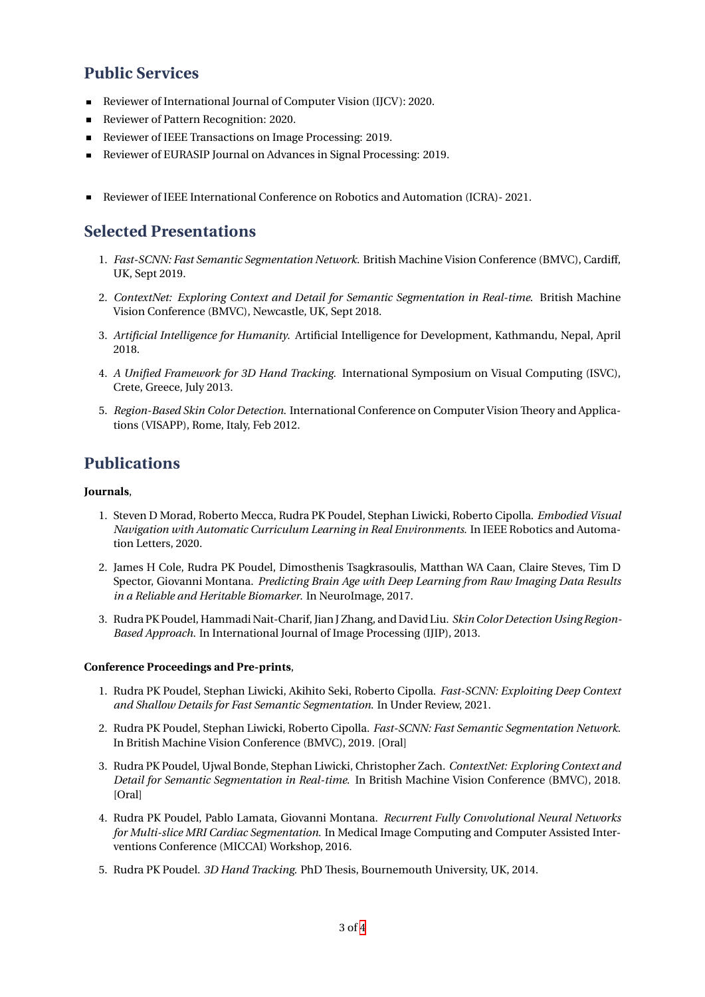### **Public Services**

- Reviewer of International Journal of Computer Vision (IJCV): 2020.
- Reviewer of Pattern Recognition: 2020.  $\blacksquare$
- Reviewer of IEEE Transactions on Image Processing: 2019.
- Reviewer of EURASIP Journal on Advances in Signal Processing: 2019.  $\blacksquare$
- **Reviewer of IEEE International Conference on Robotics and Automation (ICRA)- 2021.**

# **Selected Presentations**

- 1. *Fast-SCNN: Fast Semantic Segmentation Network*. British Machine Vision Conference (BMVC), Cardiff, UK, Sept 2019.
- 2. *ContextNet: Exploring Context and Detail for Semantic Segmentation in Real-time*. British Machine Vision Conference (BMVC), Newcastle, UK, Sept 2018.
- 3. *Artificial Intelligence for Humanity*. Artificial Intelligence for Development, Kathmandu, Nepal, April 2018.
- 4. *A Unified Framework for 3D Hand Tracking*. International Symposium on Visual Computing (ISVC), Crete, Greece, July 2013.
- 5. *Region-Based Skin Color Detection*. International Conference on Computer Vision Theory and Applications (VISAPP), Rome, Italy, Feb 2012.

# **Publications**

#### **Journals**,

- 1. Steven D Morad, Roberto Mecca, Rudra PK Poudel, Stephan Liwicki, Roberto Cipolla. *Embodied Visual Navigation with Automatic Curriculum Learning in Real Environments*. In IEEE Robotics and Automation Letters, 2020.
- 2. James H Cole, Rudra PK Poudel, Dimosthenis Tsagkrasoulis, Matthan WA Caan, Claire Steves, Tim D Spector, Giovanni Montana. *Predicting Brain Age with Deep Learning from Raw Imaging Data Results in a Reliable and Heritable Biomarker*. In NeuroImage, 2017.
- 3. Rudra PK Poudel, Hammadi Nait-Charif, Jian J Zhang, and David Liu. *Skin Color Detection Using Region-Based Approach*. In International Journal of Image Processing (IJIP), 2013.

#### **Conference Proceedings and Pre-prints**,

- 1. Rudra PK Poudel, Stephan Liwicki, Akihito Seki, Roberto Cipolla. *Fast-SCNN: Exploiting Deep Context and Shallow Details for Fast Semantic Segmentation*. In Under Review, 2021.
- 2. Rudra PK Poudel, Stephan Liwicki, Roberto Cipolla. *Fast-SCNN: Fast Semantic Segmentation Network*. In British Machine Vision Conference (BMVC), 2019. [Oral]
- 3. Rudra PK Poudel, Ujwal Bonde, Stephan Liwicki, Christopher Zach. *ContextNet: Exploring Context and Detail for Semantic Segmentation in Real-time*. In British Machine Vision Conference (BMVC), 2018. [Oral]
- 4. Rudra PK Poudel, Pablo Lamata, Giovanni Montana. *Recurrent Fully Convolutional Neural Networks for Multi-slice MRI Cardiac Segmentation*. In Medical Image Computing and Computer Assisted Interventions Conference (MICCAI) Workshop, 2016.
- 5. Rudra PK Poudel. *3D Hand Tracking*. PhD Thesis, Bournemouth University, UK, 2014.